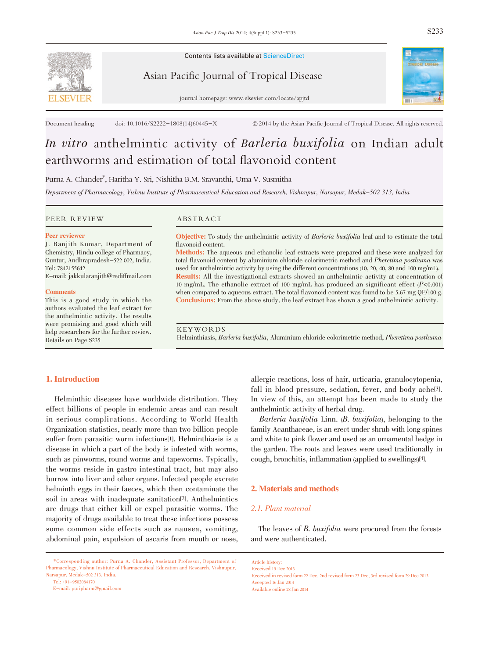

Contents lists available at ScienceDirect

Asian Pacific Journal of Tropical Disease



journal homepage: www.elsevier.com/locate/apjtd

Document heading doi: 10.1016/S2222-1808(14)60445-X © 2014 by the Asian Pacific Journal of Tropical Disease. All rights reserved.

# In vitro anthelmintic activity of Barleria buxifolia on Indian adult earthworms and estimation of total flavonoid content

Purna A. Chander\* , Haritha Y. Sri, Nishitha B.M. Sravanthi, Uma V. Susmitha

Department of Pharmacology, Vishnu Institute of Pharmaceutical Education and Research, Vishnupur, Narsapur, Medak-502 313, India

PEER REVIEW ABSTRACT

#### Peer reviewer

J. Ranjith Kumar, Department of Chemistry, Hindu college of Pharmacy, Guntur, Andhrapradesh-522 002, India. Tel: 7842155642

E-mail: jakkularanjith@rediffmail.com

#### **Comments**

This is a good study in which the authors evaluated the leaf extract for the anthelmintic activity. The results were promising and good which will help researchers for the further review. Details on Page S235

Objective: To study the anthelmintic activity of Barleria buxifolia leaf and to estimate the total flavonoid content.

Methods: The aqueous and ethanolic leaf extracts were prepared and these were analyzed for total flavonoid content by aluminium chloride colorimetric method and Pheretima posthuma was used for anthelmintic activity by using the different concentrations (10, 20, 40, 80 and 100 mg/mL). Results: All the investigational extracts showed an anthelmintic activity at concentration of <sup>10</sup> mg/mL. The ethanolic extract of <sup>100</sup> mg/mL has produced an significant effect (P<0.001) when compared to aqueous extract. The total flavonoid content was found to be 5.67 mg QE/100 g. Conclusions: From the above study, the leaf extract has shown a good anthelmintic activity.

KEYWORDS

Helminthiasis, Barleria buxifolia, Aluminium chloride colorimetric method, Pheretima posthuma

# 1. Introduction

Helminthic diseases have worldwide distribution. They effect billions of people in endemic areas and can result in serious complications. According to World Health Organization statistics, nearly more than two billion people suffer from parasitic worm infections[1]. Helminthiasis is a disease in which a part of the body is infested with worms, such as pinworms, round worms and tapeworms. Typically, the worms reside in gastro intestinal tract, but may also burrow into liver and other organs. Infected people excrete helminth eggs in their faeces, which then contaminate the soil in areas with inadequate sanitation[2]. Anthelmintics are drugs that either kill or expel parasitic worms. The majority of drugs available to treat these infections possess some common side effects such as nausea, vomiting, abdominal pain, expulsion of ascaris from mouth or nose,

\*Corresponding author: Purna A. Chander, Assistant Professor, Department of Pharmacology, Vishnu Institute of Pharmaceutical Education and Research, Vishnupur, Narsapur, Medak-502 313, India.

Tel: +91-9502084170

E-mail: puripharm@gmail.com

allergic reactions, loss of hair, urticaria, granulocytopenia, fall in blood pressure, sedation, fever, and body ache[3]. In view of this, an attempt has been made to study the anthelmintic activity of herbal drug.

Barleria buxifolia Linn. (B. buxifolia), belonging to the family Acanthaceae, is an erect under shrub with long spines and white to pink flower and used as an ornamental hedge in the garden. The roots and leaves were used traditionally in cough, bronchitis, inflammation (applied to swellings)[4].

#### 2. Materials and methods

#### 2.1. Plant material

The leaves of B. buxifolia were procured from the forests and were authenticated.

Article history: Received 19 Dec 2013

Received in revised form 22 Dec, 2nd revised form 23 Dec, 3rd revised form 29 Dec 2013 Accepted 16 Jan 2014 Available online 28 Jan 2014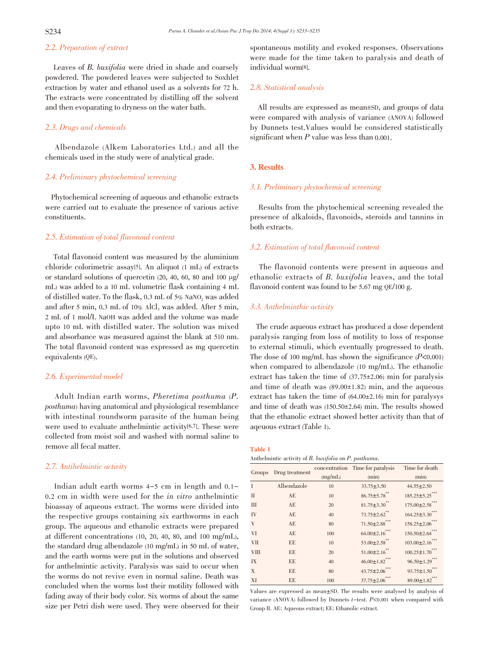# 2.2. Preparation of extract

Leaves of B. buxifolia were dried in shade and coarsely powdered. The powdered leaves were subjected to Soxhlet extraction by water and ethanol used as a solvents for 72 h. The extracts were concentrated by distilling off the solvent and then evoparating to dryness on the water bath.

#### 2.3. Drugs and chemicals

Albendazole (Alkem Laboratories Ltd.) and all the chemicals used in the study were of analytical grade.

#### 2.4. Preliminary phytochemical screening

Phytochemical screening of aqueous and ethanolic extracts were carried out to evaluate the presence of various active constituents.

# 2.5. Estimation of total flavonoid content

Total flavonoid content was measured by the aluminium chloride colorimetric assay[5]. An aliquot (1 mL) of extracts or standard solutions of quercetin (20, 40, 60, 80 and 100 µg/ mL) was added to a 10 mL volumetric flask containing 4 mL of distilled water. To the flask, 0.3 mL of 5% NaNO<sub>2</sub> was added and after 5 min,  $0.3$  mL of  $10\%$  AlCl<sub>3</sub> was added. After 5 min, 2 mL of 1 mol/L NaOH was added and the volume was made upto 10 mL with distilled water. The solution was mixed and absorbance was measured against the blank at 510 nm. The total flavonoid content was expressed as mg quercetin equivalents (QE).

#### 2.6. Experimental model

Adult Indian earth worms, Pheretima posthuma (P. posthuma) having anatomical and physiological resemblance with intestinal roundworm parasite of the human being were used to evaluate anthelmintic activity<sup>[6,7]</sup>. These were collected from moist soil and washed with normal saline to remove all fecal matter.

#### 2.7. Antihelmintic activity

Indian adult earth worms 4-5 cm in length and 0.1- 0.2 cm in width were used for the in vitro anthelmintic bioassay of aqueous extract. The worms were divided into the respective groups containing six earthworms in each group. The aqueous and ethanolic extracts were prepared at different concentrations (10, 20, 40, 80, and 100 mg/mL), the standard drug albendazole (10 mg/mL) in 50 mL of water, and the earth worms were put in the solutions and observed for anthelmintic activity. Paralysis was said to occur when the worms do not revive even in normal saline. Death was concluded when the worms lost their motility followed with fading away of their body color. Six worms of about the same size per Petri dish were used. They were observed for their spontaneous motility and evoked responses. Observations were made for the time taken to paralysis and death of individual worm[8].

#### 2.8. Statistical analysis

All results are expressed as mean±SD, and groups of data were compared with analysis of variance (ANOVA) followed by Dunnets test.Values would be considered statistically significant when P value was less than 0.001.

#### 3. Results

#### 3.1. Preliminary phytochemical screening

Results from the phytochemical screening revealed the presence of alkaloids, flavonoids, steroids and tannins in both extracts.

#### 3.2. Estimation of total flavonoid content

The flavonoid contents were present in aqueous and ethanolic extracts of B. buxifolia leaves, and the total flavonoid content was found to be 5.67 mg QE/100 g.

#### 3.3. Anthelminthic activity

The crude aqueous extract has produced a dose dependent paralysis ranging from loss of motility to loss of response to external stimuli, which eventually progressed to death. The dose of 100 mg/mL has shown the significance  $(P<0.001)$ when compared to albendazole (10 mg/mL). The ethanolic extract has taken the time of  $(37.75 \pm 2.06)$  min for paralysis and time of death was  $(89.00 \pm 1.82)$  min, and the aqueous extract has taken the time of  $(64.00 \pm 2.16)$  min for paralysys and time of death was  $(150.50 \pm 2.64)$  min. The results showed that the ethanolic extract showed better activity than that of aqeuous extract (Table 1).

#### Table 1

Anthelmintic activity of B. buxifolia on P. posthuma.

| Groups      | Drug treatment |         | concentration Time for paralysis | Time for death        |
|-------------|----------------|---------|----------------------------------|-----------------------|
|             |                | (mg/mL) | (min)                            | (min)                 |
| T           | Albendazole    | 10      | $33.75 \pm 3.50$                 | $44.55 \pm 2.50$      |
| П           | AE             | 10      | $86.75 \pm 5.78$ **              | $185.25 \pm 5.25$ *** |
| Ш           | AE             | 20      | $81.75 \pm 3.30$ **              | $175.00 \pm 2.58$ *** |
| IV          | AE             | 40      | $73.75 \pm 2.62$ **              | $164.25 \pm 3.30$ *** |
| V           | AE             | 80      | $71.50 \pm 2.88$ ***             | $158.25 \pm 2.06$ *** |
| VI          | AE             | 100     | $64.00 \pm 2.16$ ***             | $150.50 \pm 2.64$ *** |
| VП          | EE.            | 10      | $53.00 \pm 2.58$ **              | $103.00 \pm 2.16$ *** |
| <b>VIII</b> | ΕE             | 20      | $51.00 \pm 2.16$ **              | $100.25 \pm 1.70$     |
| IX          | ЕE             | 40      | $46.00 \pm 1.82$ ***             | $96.50 \pm 1.29$ ***  |
| X           | EE.            | 80      | $43.75 \pm 2.06$ ***             | $93.75 \pm 1.50$ ***  |
| XI          | EE             | 100     | $37.75 \pm 2.06$ ***             | $89.00 \pm 1.82$ ***  |

Values are expressed as mean±SD. The results were analysed by analysis of variance (ANOVA) followed by Dunnets  $t$ -test.  $P$ <0.001 when compared with Group II. AE: Aqueous extract; EE: Ethanolic extract.